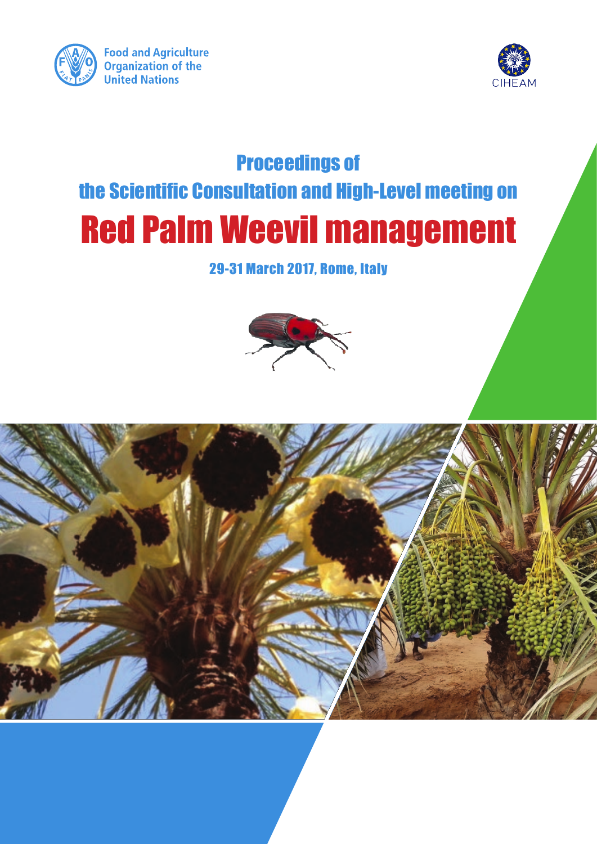



# Proceedings of the Scientific Consultation and High-Level meeting on Red Palm Weevil management

# 29-31 March 2017, Rome, Italy



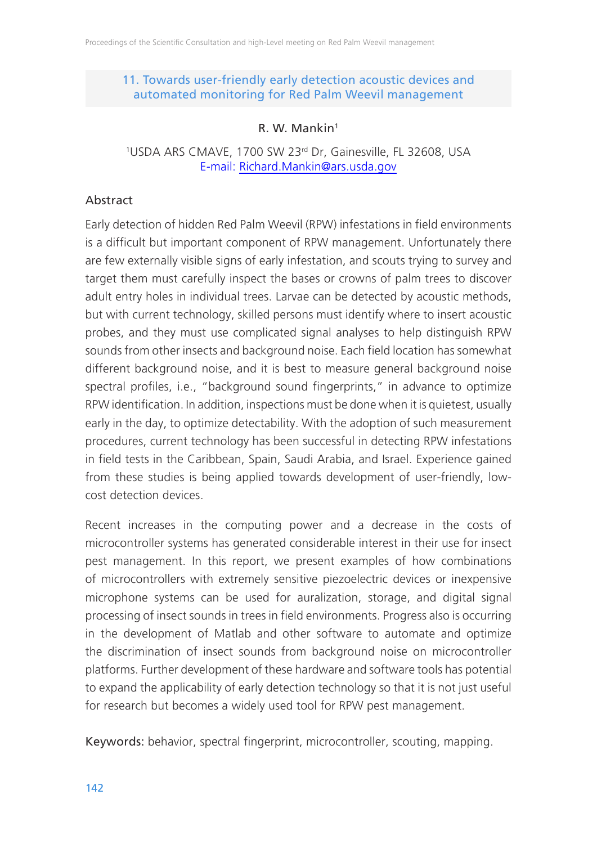# 11. Towards user-friendly early detection acoustic devices and automated monitoring for Red Palm Weevil management

# R. W. Mankin1

#### <sup>1</sup>USDA ARS CMAVE, 1700 SW 23<sup>rd</sup> Dr, Gainesville, FL 32608, USA E-mail: Richard.Mankin@ars.usda.gov

# Abstract

Early detection of hidden Red Palm Weevil (RPW) infestations in field environments is a difficult but important component of RPW management. Unfortunately there are few externally visible signs of early infestation, and scouts trying to survey and target them must carefully inspect the bases or crowns of palm trees to discover adult entry holes in individual trees. Larvae can be detected by acoustic methods, but with current technology, skilled persons must identify where to insert acoustic probes, and they must use complicated signal analyses to help distinguish RPW sounds from other insects and background noise. Each field location has somewhat different background noise, and it is best to measure general background noise spectral profiles, i.e., "background sound fingerprints," in advance to optimize RPW identification. In addition, inspections must be done when it is quietest, usually early in the day, to optimize detectability. With the adoption of such measurement procedures, current technology has been successful in detecting RPW infestations in field tests in the Caribbean, Spain, Saudi Arabia, and Israel. Experience gained from these studies is being applied towards development of user-friendly, lowcost detection devices.

Recent increases in the computing power and a decrease in the costs of microcontroller systems has generated considerable interest in their use for insect pest management. In this report, we present examples of how combinations of microcontrollers with extremely sensitive piezoelectric devices or inexpensive microphone systems can be used for auralization, storage, and digital signal processing of insect sounds in trees in field environments. Progress also is occurring in the development of Matlab and other software to automate and optimize the discrimination of insect sounds from background noise on microcontroller platforms. Further development of these hardware and software tools has potential to expand the applicability of early detection technology so that it is not just useful for research but becomes a widely used tool for RPW pest management.

Keywords: behavior, spectral fingerprint, microcontroller, scouting, mapping.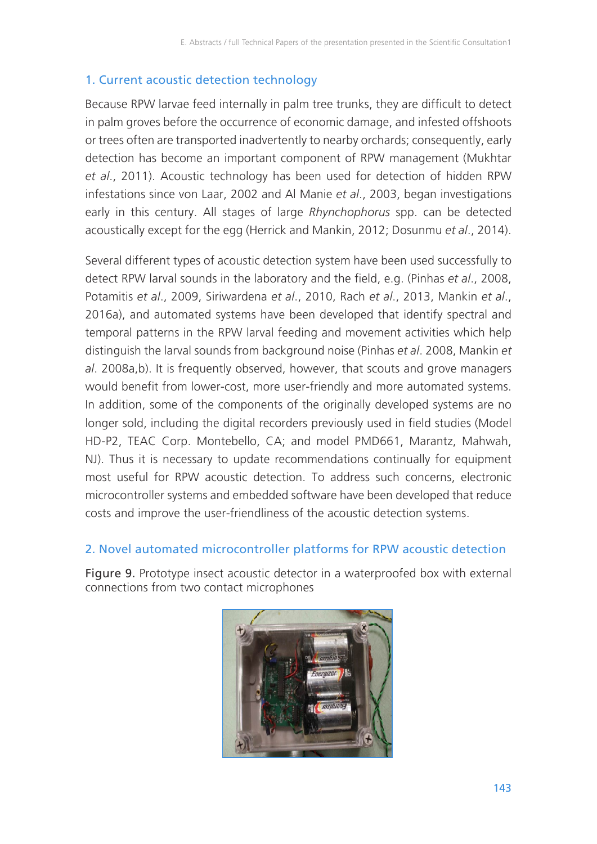# 1. Current acoustic detection technology

Because RPW larvae feed internally in palm tree trunks, they are difficult to detect in palm groves before the occurrence of economic damage, and infested offshoots or trees often are transported inadvertently to nearby orchards; consequently, early detection has become an important component of RPW management (Mukhtar *et al*., 2011). Acoustic technology has been used for detection of hidden RPW infestations since von Laar, 2002 and Al Manie *et al*., 2003, began investigations early in this century. All stages of large *Rhynchophorus* spp. can be detected acoustically except for the egg (Herrick and Mankin, 2012; Dosunmu *et al*., 2014).

Several different types of acoustic detection system have been used successfully to detect RPW larval sounds in the laboratory and the field, e.g. (Pinhas *et al*., 2008, Potamitis *et al*., 2009, Siriwardena *et al*., 2010, Rach *et al*., 2013, Mankin *et al*., 2016a), and automated systems have been developed that identify spectral and temporal patterns in the RPW larval feeding and movement activities which help distinguish the larval sounds from background noise (Pinhas *et al*. 2008, Mankin *et al*. 2008a,b). It is frequently observed, however, that scouts and grove managers would benefit from lower-cost, more user-friendly and more automated systems. In addition, some of the components of the originally developed systems are no longer sold, including the digital recorders previously used in field studies (Model HD-P2, TEAC Corp. Montebello, CA; and model PMD661, Marantz, Mahwah, NJ). Thus it is necessary to update recommendations continually for equipment most useful for RPW acoustic detection. To address such concerns, electronic microcontroller systems and embedded software have been developed that reduce costs and improve the user-friendliness of the acoustic detection systems.

## 2. Novel automated microcontroller platforms for RPW acoustic detection

Figure 9. Prototype insect acoustic detector in a waterproofed box with external connections from two contact microphones

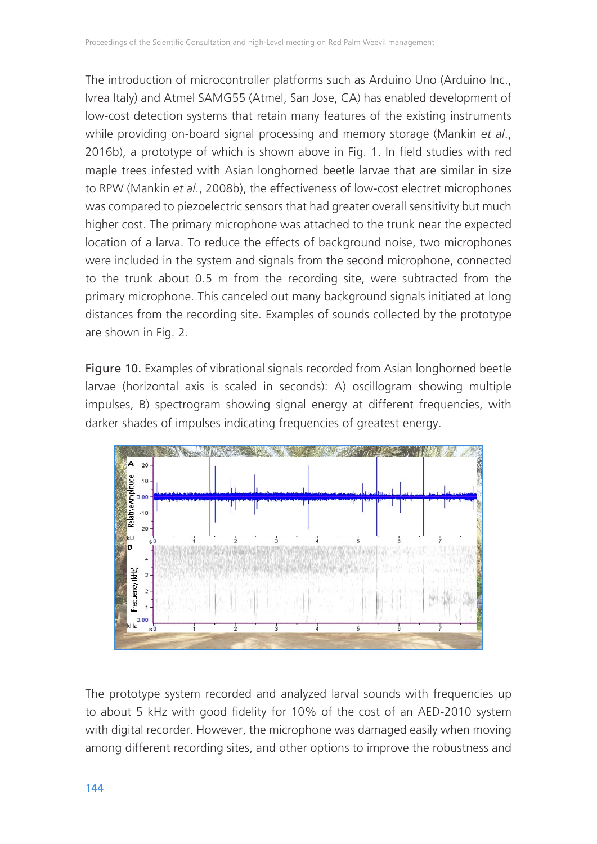The introduction of microcontroller platforms such as Arduino Uno (Arduino Inc., Ivrea Italy) and Atmel SAMG55 (Atmel, San Jose, CA) has enabled development of low-cost detection systems that retain many features of the existing instruments while providing on-board signal processing and memory storage (Mankin *et al*., 2016b), a prototype of which is shown above in Fig. 1. In field studies with red maple trees infested with Asian longhorned beetle larvae that are similar in size to RPW (Mankin *et al*., 2008b), the effectiveness of low-cost electret microphones was compared to piezoelectric sensors that had greater overall sensitivity but much higher cost. The primary microphone was attached to the trunk near the expected location of a larva. To reduce the effects of background noise, two microphones were included in the system and signals from the second microphone, connected to the trunk about 0.5 m from the recording site, were subtracted from the primary microphone. This canceled out many background signals initiated at long distances from the recording site. Examples of sounds collected by the prototype are shown in Fig. 2.

Figure 10. Examples of vibrational signals recorded from Asian longhorned beetle larvae (horizontal axis is scaled in seconds): A) oscillogram showing multiple impulses, B) spectrogram showing signal energy at different frequencies, with darker shades of impulses indicating frequencies of greatest energy.



The prototype system recorded and analyzed larval sounds with frequencies up to about 5 kHz with good fidelity for 10% of the cost of an AED-2010 system with digital recorder. However, the microphone was damaged easily when moving among different recording sites, and other options to improve the robustness and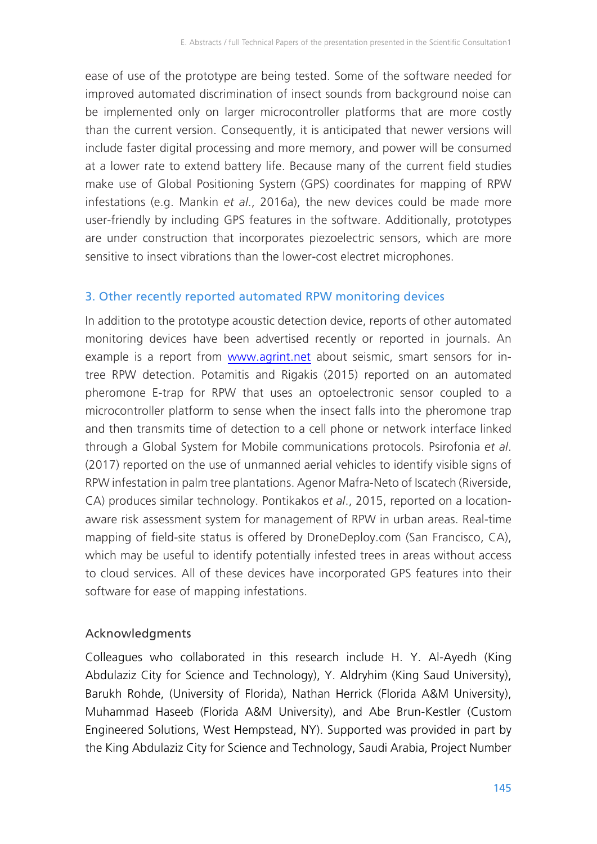ease of use of the prototype are being tested. Some of the software needed for improved automated discrimination of insect sounds from background noise can be implemented only on larger microcontroller platforms that are more costly than the current version. Consequently, it is anticipated that newer versions will include faster digital processing and more memory, and power will be consumed at a lower rate to extend battery life. Because many of the current field studies make use of Global Positioning System (GPS) coordinates for mapping of RPW infestations (e.g. Mankin *et al*., 2016a), the new devices could be made more user-friendly by including GPS features in the software. Additionally, prototypes are under construction that incorporates piezoelectric sensors, which are more sensitive to insect vibrations than the lower-cost electret microphones.

# 3. Other recently reported automated RPW monitoring devices

In addition to the prototype acoustic detection device, reports of other automated monitoring devices have been advertised recently or reported in journals. An example is a report from www.agrint.net about seismic, smart sensors for intree RPW detection. Potamitis and Rigakis (2015) reported on an automated pheromone E-trap for RPW that uses an optoelectronic sensor coupled to a microcontroller platform to sense when the insect falls into the pheromone trap and then transmits time of detection to a cell phone or network interface linked through a Global System for Mobile communications protocols. Psirofonia *et al*. (2017) reported on the use of unmanned aerial vehicles to identify visible signs of RPW infestation in palm tree plantations. Agenor Mafra-Neto of Iscatech (Riverside, CA) produces similar technology. Pontikakos *et al*., 2015, reported on a locationaware risk assessment system for management of RPW in urban areas. Real-time mapping of field-site status is offered by DroneDeploy.com (San Francisco, CA), which may be useful to identify potentially infested trees in areas without access to cloud services. All of these devices have incorporated GPS features into their software for ease of mapping infestations.

## Acknowledgments

Colleagues who collaborated in this research include H. Y. Al-Ayedh (King Abdulaziz City for Science and Technology), Y. Aldryhim (King Saud University), Barukh Rohde, (University of Florida), Nathan Herrick (Florida A&M University), Muhammad Haseeb (Florida A&M University), and Abe Brun-Kestler (Custom Engineered Solutions, West Hempstead, NY). Supported was provided in part by the King Abdulaziz City for Science and Technology, Saudi Arabia, Project Number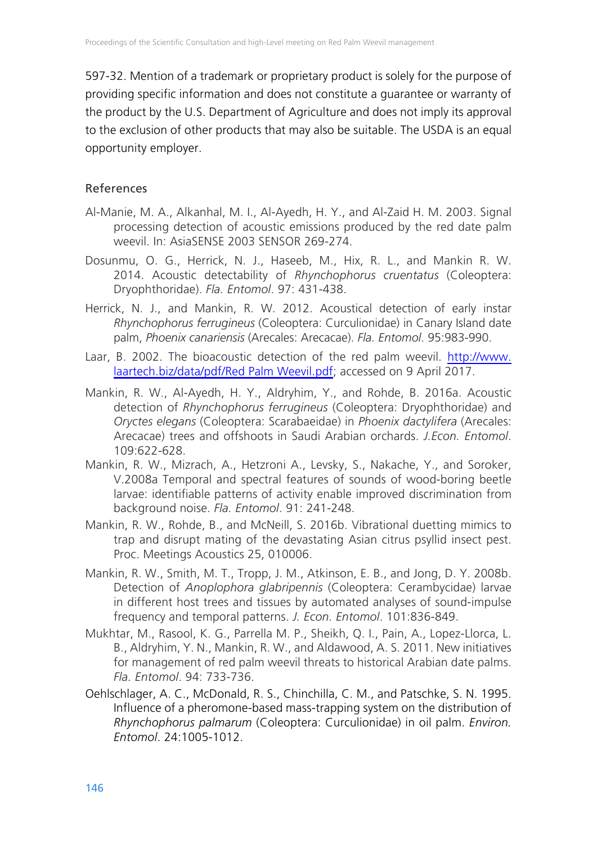597-32. Mention of a trademark or proprietary product is solely for the purpose of providing specific information and does not constitute a guarantee or warranty of the product by the U.S. Department of Agriculture and does not imply its approval to the exclusion of other products that may also be suitable. The USDA is an equal opportunity employer.

## References

- Al-Manie, M. A., Alkanhal, M. I., Al-Ayedh, H. Y., and Al-Zaid H. M. 2003. Signal processing detection of acoustic emissions produced by the red date palm weevil. In: AsiaSENSE 2003 SENSOR 269-274.
- Dosunmu, O. G., Herrick, N. J., Haseeb, M., Hix, R. L., and Mankin R. W. 2014. Acoustic detectability of *Rhynchophorus cruentatus* (Coleoptera: Dryophthoridae). *Fla. Entomol*. 97: 431-438.
- Herrick, N. J., and Mankin, R. W. 2012. Acoustical detection of early instar *Rhynchophorus ferrugineus* (Coleoptera: Curculionidae) in Canary Island date palm, *Phoenix canariensis* (Arecales: Arecacae). *Fla. Entomol*. 95:983-990.
- Laar, B. 2002. The bioacoustic detection of the red palm weevil. http://www. laartech.biz/data/pdf/Red Palm Weevil.pdf; accessed on 9 April 2017.
- Mankin, R. W., Al-Ayedh, H. Y., Aldryhim, Y., and Rohde, B. 2016a. Acoustic detection of *Rhynchophorus ferrugineus* (Coleoptera: Dryophthoridae) and *Oryctes elegans* (Coleoptera: Scarabaeidae) in *Phoenix dactylifera* (Arecales: Arecacae) trees and offshoots in Saudi Arabian orchards. *J.Econ. Entomol*. 109:622-628.
- Mankin, R. W., Mizrach, A., Hetzroni A., Levsky, S., Nakache, Y., and Soroker, V.2008a Temporal and spectral features of sounds of wood-boring beetle larvae: identifiable patterns of activity enable improved discrimination from background noise. *Fla. Entomol*. 91: 241-248.
- Mankin, R. W., Rohde, B., and McNeill, S. 2016b. Vibrational duetting mimics to trap and disrupt mating of the devastating Asian citrus psyllid insect pest. Proc. Meetings Acoustics 25, 010006.
- Mankin, R. W., Smith, M. T., Tropp, J. M., Atkinson, E. B., and Jong, D. Y. 2008b. Detection of *Anoplophora glabripennis* (Coleoptera: Cerambycidae) larvae in different host trees and tissues by automated analyses of sound-impulse frequency and temporal patterns. *J. Econ. Entomol*. 101:836-849.
- Mukhtar, M., Rasool, K. G., Parrella M. P., Sheikh, Q. I., Pain, A., Lopez-Llorca, L. B., Aldryhim, Y. N., Mankin, R. W., and Aldawood, A. S. 2011. New initiatives for management of red palm weevil threats to historical Arabian date palms. *Fla. Entomol*. 94: 733-736.
- Oehlschlager, A. C., McDonald, R. S., Chinchilla, C. M., and Patschke, S. N. 1995. Influence of a pheromone-based mass-trapping system on the distribution of *Rhynchophorus palmarum* (Coleoptera: Curculionidae) in oil palm. *Environ. Entomol*. 24:1005-1012.